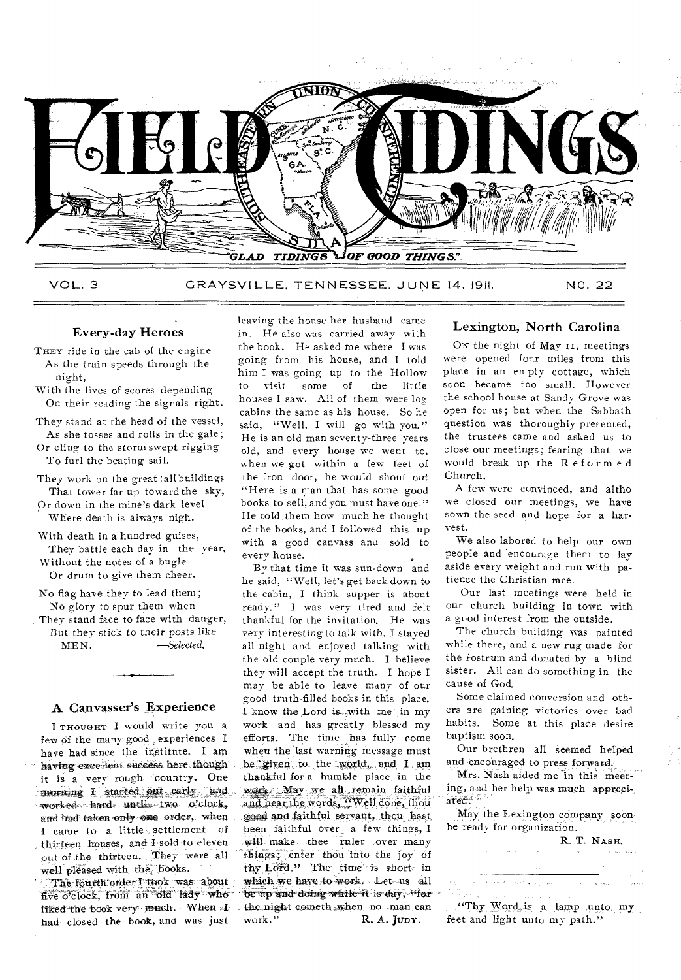

VOL. 3 GRAYSVILLE, TENNESSEE. JUNE 14, 191!. NO. 22

## Every-day Heroes

- THEY ride in the cab of the engine As the train speeds through the night,
- With the lives of scores depending On their reading the signals right.

They stand at the head of the vessel, As she tosses and rolls in the gale;

- Or cling to the storm swept rigging To furl the beating sail.
- They work on the great tall buildings That tower far up toward the sky,

Or down in the mine's dark level Where death is always nigh.

With death in a hundred guises, They battle each day in the year, Without the notes of a bugle Or drum to give them cheer.

No flag have they to lead them; No glory to spur them when

They stand face to face with danger, But they stick to their posts like<br> $MEN.$   $-Selected.$  $-$ Selected.

### A Canvasser's Experience

I THOUGHT I would write you a few of the many good experiences I have had since the institute. I am having- excellent success here though it is a very rough country. One morning I started out early and worked hard until two o'clock, and had taken only one order, when I came to a little settlement of thirteen houses, and Lsold to eleven out of the thirteen. They were all well pleased with the books.

The fourth order I took was.about five o'clock, from an old lady who liked the book very much. When Ihad closed the book, and was just

leaving the house her husband came in. He also was carried away with the book. He asked me where I was going from his house, and I told him I was going up to the Hollow to visit some of the little houses I saw. All of them were log cabins the same as his house. So he said, "Well, I will go with you." He is an old man seventy-three years old, and every house we went to, when we got within a few feet of the front door, he would shout out "Here is a man that has some good books to sell, and you must have one." He told ,them how much he thought of the books, and I followed this up with a good canvass and sold to every house.

By that time it was sun-down and he said, "Well, let's get back down to the cabin, I think supper is about ready." I was very tired and felt thankful for the invitation. He was very interesting to talk with. I stayed all night and enjoyed talking with the old couple very much. I believe they will accept the truth. I hope I may be able to leave many of our good truth-filled books in this place. I-know the Lord is\_"with me' in my work and has greatly blessed my efforts. The time has fully come when the last warning message must be given to the world, and I am. thankful for a humble place, in the work. May we all remain faithful and hear the words, "Well done, thou good and faithful servant, thou hast been faithful over a few things, I will make thee ruler over many things; enter thou into the joy of thy Lord." The time' is short- in -which we have to work: Let- us all be up and doing while it is day, "for the night cometh when no man can work." R. A. JUDY. R. A. JUDY.

## Lexington, North Carolina

On the night of May 11, meetings were opened four miles from this place in an empty cottage, which soon became too small. However the school house at Sandy Grove was open for us; but when the Sabbath question was thoroughly presented, the trustees came and asked us to close our meetings; fearing that we would break up the Reformed Church.

A few were convinced, and altho we closed our meetings, we have sown the seed and hope for a harvest.

We also labored to help our own people and 'encourage them to lay aside every weight and run with patience the Christian race.

Our last meetings were held in our church building in town with a good interest from the outside.

The church building was painted while there, and a new rug made for the rostrum and donated by a blind sister. All can do something in the cause of God.

Some claimed conversion and others are gaining victories over bad habits. Some at this place desire baptism soon.

Our brethren all seemed helped and encouraged to press forward.

Mrs. Nash aided me in this meeting, and her help was much appreciated.'

May the Lexington company soonbe ready for organization.

R. T. NASH.

"Thy Word is a lamp unto my feet and light unto my path."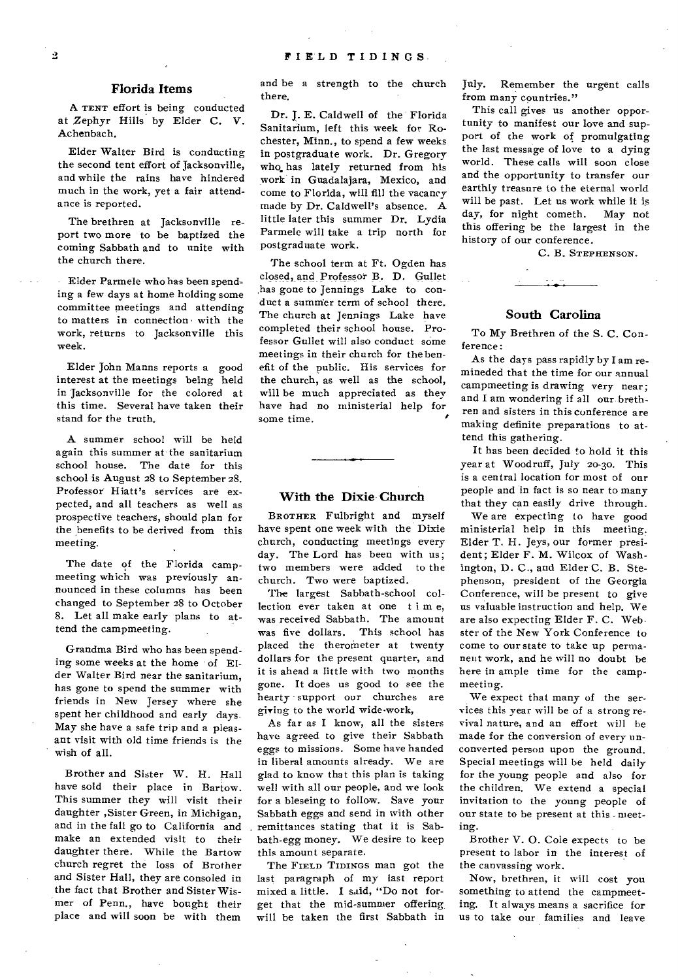### **Florida Items**

A TENT effort is being conducted at Zephyr Hills by Elder C. V. Achenbach.

Elder Walter Bird is conducting the second tent effort of Jacksonville, and while the rains have hindered much in the work, yet a fair attendance is reported.

The brethren at Jacksonville report two more to be baptized the coming Sabbath and to unite with the church there.

Elder Parmele who has been spending a few days at home holding some committee meetings and attending to matters in connection • with the work, returns to Jacksonville this week.

Elder John Manns reports a good interest at the meetings being held in Jacksonville for the colored at this time. Several have taken their stand for the truth.

A summer school will be held again this summer at the sanitarium school house. The date for this school is August 28 to September 28. Professor Hiatt's services are expected, and all teachers as well as prospective teachers, should plan for the benefits to be derived from this meeting.

The date of the Florida campmeeting which was previously announced in these columns has been changed to September 28 to October 8. Let all make early plans to attend the campmeeting.

Grandma Bird who has been spending some weeks at the home of Elder Walter Bird near the sanitarium, has gone to spend the summer with friends in New Jersey where she spent her childhood and early days-May she have a safe trip and a pleasant visit with old time friends is the wish of all.

Brother and Sister W. H. Hall have sold their place in Bartow. This summer they- will visit their daughter ,Sister Green, in Michigan, and in the fall go to California and make an extended visit to their daughter there. While the Bartow church regret the loss of Brother and Sister Hall, they are consoled in the fact that Brother and Sister Wismer of Penn., have bought their place and will soon be with them

and be a strength to the church there.

Dr. **J.** E. Caldwell of the Florida Sanitarium, left this week for Rochester, Minn., to spend a few weeks in postgraduate work. Dr. Gregorywho, has lately returned from his work in Guadalajara, Mexico, and come to Florida, will fill the vacancy made by Dr. Caldwell's absence. A little later this summer Dr. Lydia Parmele will take a trip north for postgraduate work.

The school term at Ft. Ogden has closed, and Professor B. D. Gullet has gone to Jennings Lake to conduct a summer term of school there. The church at Jennings Lake have completed their school house. Professor Gullet will also conduct some meetings in their church for the benefit of the public. His services for the church, as well as the school, will be much appreciated as they have had no ministerial help for some time.

#### **With the Dixie Church**

BROTHER Fulbright and myself have spent one week with the Dixie church, conducting meetings every day. The Lord has been with us; two members were added to the church. Two were baptized.

The largest Sabbath-school collection ever taken at one t i m e, was received Sabbath. The amount was five dollars. This school has placed the therometer at twenty dollars for the present quarter, and it is ahead a little with two months gone. It does us good to see the hearty support our churches are giving to the world wide-work,

As far as I know, all the sisters have agreed to give their Sabbath eggs to missions. Some have handed in liberal amounts already. We are glad to know that this plan is taking well with all our people, and we look for a bleseing to follow. Save your Sabbath eggs and send in with other remittances stating that it is Sabbath-egg money. We desire to keep this amount separate.

The FIELD TIDINGS man got the last paragraph of my last report mixed a little. **I** said, "Do not forget that the mid-summer offering will be taken the first Sabbath in July. Remember the urgent calls from many countries."

This call gives us another opportunity to manifest our love and support of the work of promulgating the last message of love to a dying world. These calls will soon close and the opportunity to transfer our earthly treasure to the eternal world will be past. Let us work while it is day, for night cometh. May not this offering be the largest in the history of our conference.

C. B. STEPHENSON.

### **South Carolina**

To My Brethren of the S. C. Conference:

As the days pass rapidly by I am remineded that the time for our annual campmeeting is drawing very near; and I am wondering if all our brethren and sisters in this conference are making definite preparations to attend this gathering.

It has been decided to hold it this year at Woodruff, July 20-30. This is a central location for most of our people and in fact is so near to many that they can easily drive through.

We are expecting to have good ministerial help in this meeting. Elder T. H. Jeys, our former president; Elder F. **M.** Wilcox of Washington, D. C., and Elder C. B. Stephenson, president of the Georgia Conference, will be present to give us valuable instruction and help. We are also expecting Elder F. C. Web. ster of the New York Conference to come to our state to take up permanent work, and he will no doubt be here in ample time for the campmeeting.

We expect that many of the services this year will be of a strong revival nature, and an effort will be made for the conversion of every unconverted person upon the ground. Special meetings will be held daily for the young people and also for the children. We extend a special invitation to the young people of our state to be present at this - meeting.

Brother V. O. Cole expects to be present to labor in the interest of the canvassing work.

Now, brethren, it will cost you something to attend the campmeeting. It always means a sacrifice for us to take our families and leave

 $\boldsymbol{2}$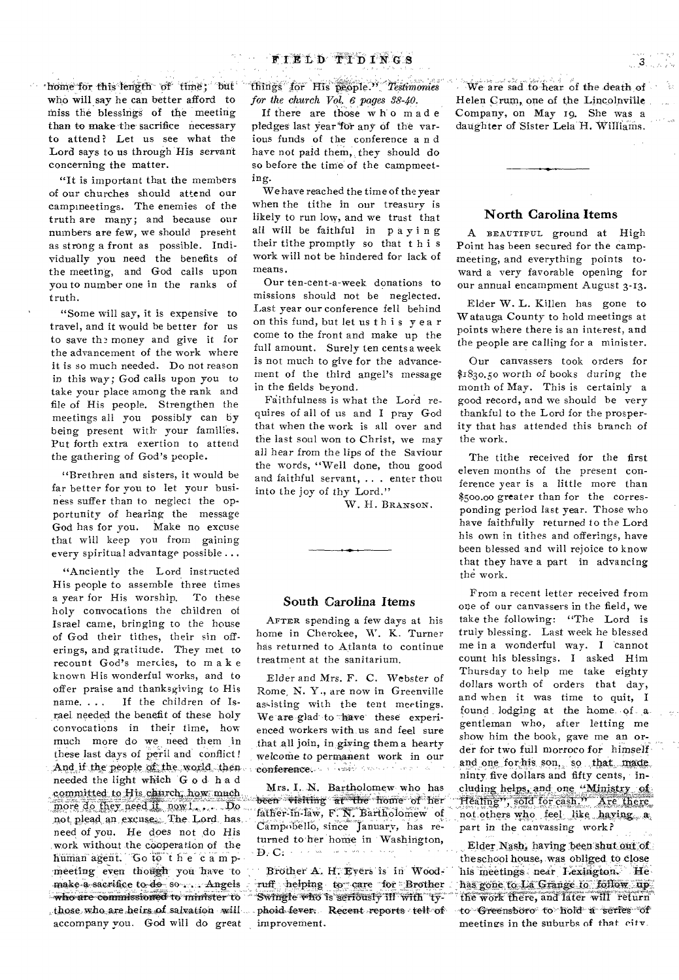**'home for this length of time; but who will say he can better afford to miss the blessings of the meeting than to make the sacrifice necessary to attend? Let us see what the Lord** *says to* **us through His servant concerning the matter.** 

**"It is important that the members of our churches should attend our campmeetings. The enemies of the truth are many; and because our numbers are few, we should present as strong a front as possible. Individually you need the benefits of the meeting, and God calls upon you to number one in the ranks of truth.** 

**"Some will say, it is expensive to travel, and it would be better for us**  to save the money and give it for **the advancement of the work where it is so much needed. Do not reason in this way; God calls upon you to take your place among the rank and file of His people. Strengthen the meetings all you possibly can by being present with' your families. Put forth extra exertion to attend the gathering of God's people.** 

**"Brethren and sisters, it would be far better for you to let your business suffer than to neglect the opportunity of hearing the message God has for you. Make no excuse that will keep you from gaining every spiritual advantage possible ...** 

**"Anciently the Lord instructed His people to assemble three times a year for His worship. To these holy convocations the children of Israel came, bringing to the house of God their tithes, their sin offerings, and gratitude. They met to recount God's mercies, to make known His wonderful works, and to offer praise and thanksgiving to His name. . If the children of Israel needed the benefit of these holy convocations in their time, how much more do we need them in these last days of peril and conflict ! And if the people of the world., then needed the light which God had committed to His church, how much** more do they need it now !... Do **not, plead an excuses, The Lord has**  need of you. He does not do His **work without the cooperation of the human agent. Go to the cam p** meeting even though you have to make a sacrifice to do so ... Angels **-who are commissioned to minister & those who are heirs of salvation will accompany you. God will do great** 

**littings** for His people." Testimonies *for the church Vol.* **6** *pages 38-40.* 

**If there are those w h o made**  pledges last vear for any of the var**ious funds of the conference a n d**  have not paid them, they should do **so before the time of the campmeeting.** 

**We have reached the time of the year when the tithe in our treasury is likely to run low, and we trust that all will be faithful in paying their tithe promptly so that this work will not be hindered for lack of means.** 

**Our ten-cent-a-week donations to missions should not be neglected. Last year our conference fell behind on this fund, but let us this yea r come to the front and make up the full amount. Surely ten cents a week is not much to give for the advancement of the third angel's message in the fields beyond.** 

Faithfulness is what the Lord re**quires of all of us and I pray God that when the work is all over and the last soul won to Christ, we may all hear from the lips of the Saviour the words, "Well done, thou good and faithful servant, .. . enter thou into the joy of thy Lord."** 

**W. H. BRANSON.** 

### **South Carolina Items**

**AFTER spending a few days at his home in Cherokee, W. K. Turner has returned to Atlanta to continue treatment at the sanitarium,** 

**Elder and Mrs. F. C. Webster of Rome, N. Y., are now in Greenville**  assisting with the tent meetings. We are glad to thave these experi**enced workers with us and feel sure that all join, in giving them a hearty welcothe to permanent work in our conference**, and the second inter-

Mrs. I. N. Bartholomew who has been visiting at the home of her **fither-in-law, F. N. BartholonieW of damPobello, since January, has re**turned to her home in Washington, **D. C.** concern with a community

Brother A. H. Eyers is in Wood-**Tuff helping to care for Brother " sagwingle who is seriously ill with ty:**  phoid-fever. Recent reports tell of **improvement.** 

 $W$ e are sad to hear of the death of  $\sim$ **Helen Crum, one of the Lincolnville Company, on May to. She was a daughter of Sister Lela H. Williams.** 

## **North Carolina Items**

**A BEAUTIFUL ground at High Point has been secured for the campmeeting, and everything points toward a very favorable opening for our annual encampment August 3-13.** 

**Elder W. L. Killen has gone to Watauga County to hold meetings at points where there is an interest, and the people are calling for a minister.** 

**Our canvassers took orders for \$1830.50 worth of books during the month of May. This is certainly a good record, and we should be very thankful to the Lord for the prosperity that has attended this branch of the work.** 

**The tithe received for the first eleven months of the present conference year is a little more than \$500.00 greater than for the corresponding period last year. Those who have faithfully returned to the Lord his own in tithes and offerings, have been blessed and will rejoice to know that they have a part in advancing the work.** 

**From a recent letter received from one of our canvassers in the field, we take the following: "The Lord is truly blessing. Last week he blessed me in a wonderful way. I cannot count his blessings. I asked Him Thursday to help me take eighty dollars worth of orders that day, and when it was time to quit, I found lodging at the home of** ,**a gentleman who, after letting me show him the book, gave me an order for two full morroco for himself.**  and one for his son, so that made **ninty five dollars and fifty cents, in- .cludimg helps, and one "Ministry —rearing", sold for cash." Are there**  not others who feel like having a part in the canvassing work?

Elder Nash, having been shut out of **theschool house, was obliged to close his meetings near Lexington. We, 'Ras gone to**. **La**. **Grange to follow**  `li **e Work there, and later will return -to-Greensboro to hold a series dr meetings in the suburbs of that city.**